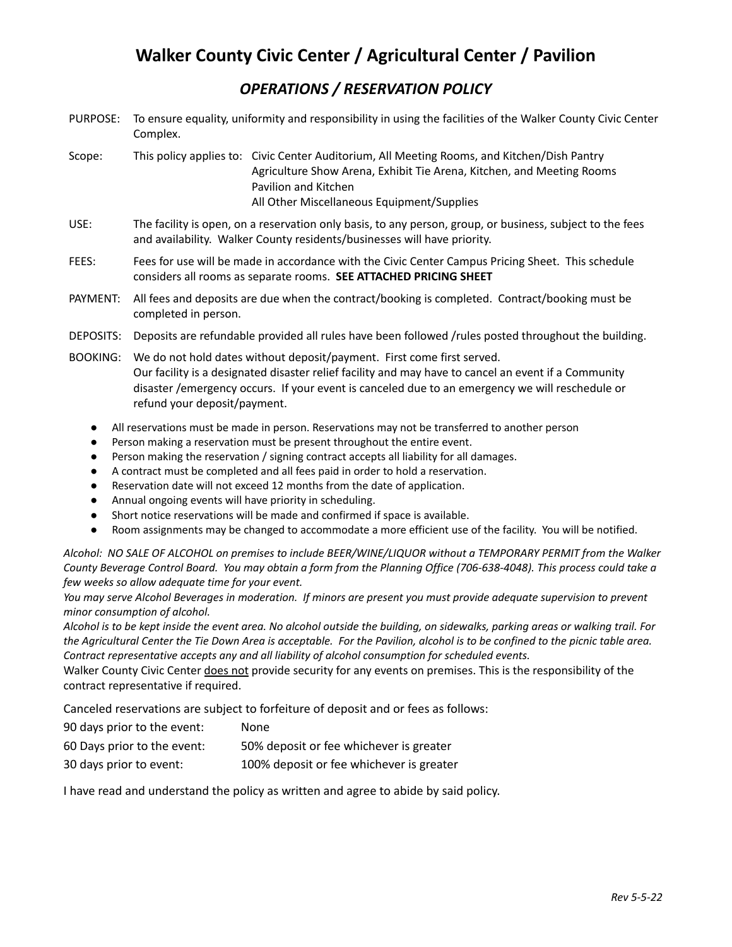# **Walker County Civic Center / Agricultural Center / Pavilion**

## *OPERATIONS / RESERVATION POLICY*

- PURPOSE: To ensure equality, uniformity and responsibility in using the facilities of the Walker County Civic Center Complex.
- Scope: This policy applies to: Civic Center Auditorium, All Meeting Rooms, and Kitchen/Dish Pantry Agriculture Show Arena, Exhibit Tie Arena, Kitchen, and Meeting Rooms Pavilion and Kitchen All Other Miscellaneous Equipment/Supplies
- USE: The facility is open, on a reservation only basis, to any person, group, or business, subject to the fees and availability. Walker County residents/businesses will have priority.
- FEES: Fees for use will be made in accordance with the Civic Center Campus Pricing Sheet. This schedule considers all rooms as separate rooms. **SEE ATTACHED PRICING SHEET**
- PAYMENT: All fees and deposits are due when the contract/booking is completed. Contract/booking must be completed in person.
- DEPOSITS: Deposits are refundable provided all rules have been followed /rules posted throughout the building.
- BOOKING: We do not hold dates without deposit/payment. First come first served. Our facility is a designated disaster relief facility and may have to cancel an event if a Community disaster /emergency occurs. If your event is canceled due to an emergency we will reschedule or refund your deposit/payment.
	- All reservations must be made in person. Reservations may not be transferred to another person
	- Person making a reservation must be present throughout the entire event.
	- Person making the reservation / signing contract accepts all liability for all damages.
	- A contract must be completed and all fees paid in order to hold a reservation.
	- Reservation date will not exceed 12 months from the date of application.
	- Annual ongoing events will have priority in scheduling.
	- Short notice reservations will be made and confirmed if space is available.
	- Room assignments may be changed to accommodate a more efficient use of the facility. You will be notified.

Alcohol: NO SALE OF ALCOHOL on premises to include BEER/WINE/LIQUOR without a TEMPORARY PERMIT from the Walker County Beverage Control Board. You may obtain a form from the Planning Office (706-638-4048). This process could take a *few weeks so allow adequate time for your event.*

You may serve Alcohol Beverages in moderation. If minors are present you must provide adequate supervision to prevent *minor consumption of alcohol.*

Alcohol is to be kept inside the event area. No alcohol outside the building, on sidewalks, parking areas or walking trail. For the Agricultural Center the Tie Down Area is acceptable. For the Pavilion, alcohol is to be confined to the picnic table area. *Contract representative accepts any and all liability of alcohol consumption for scheduled events.*

Walker County Civic Center does not provide security for any events on premises. This is the responsibility of the contract representative if required.

Canceled reservations are subject to forfeiture of deposit and or fees as follows:

| 90 days prior to the event: | None.                                    |
|-----------------------------|------------------------------------------|
| 60 Days prior to the event: | 50% deposit or fee whichever is greater  |
| 30 days prior to event:     | 100% deposit or fee whichever is greater |

I have read and understand the policy as written and agree to abide by said policy.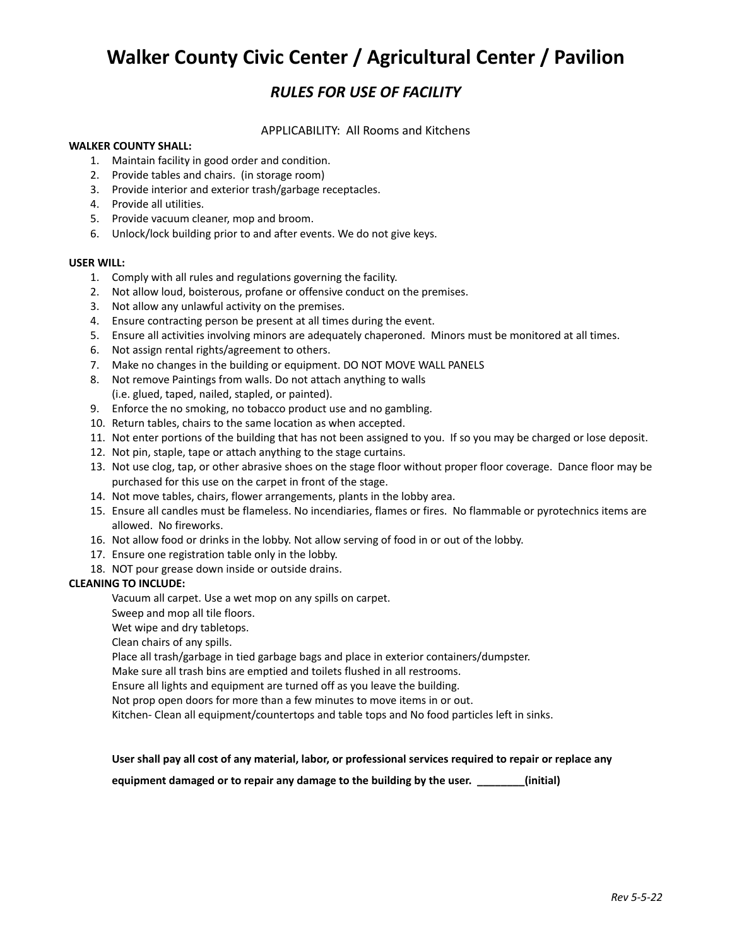# **Walker County Civic Center / Agricultural Center / Pavilion**

## *RULES FOR USE OF FACILITY*

#### APPLICABILITY: All Rooms and Kitchens

#### **WALKER COUNTY SHALL:**

- 1. Maintain facility in good order and condition.
- 2. Provide tables and chairs. (in storage room)
- 3. Provide interior and exterior trash/garbage receptacles.
- 4. Provide all utilities.
- 5. Provide vacuum cleaner, mop and broom.
- 6. Unlock/lock building prior to and after events. We do not give keys.

#### **USER WILL:**

- 1. Comply with all rules and regulations governing the facility.
- 2. Not allow loud, boisterous, profane or offensive conduct on the premises.
- 3. Not allow any unlawful activity on the premises.
- 4. Ensure contracting person be present at all times during the event.
- 5. Ensure all activities involving minors are adequately chaperoned. Minors must be monitored at all times.
- 6. Not assign rental rights/agreement to others.
- 7. Make no changes in the building or equipment. DO NOT MOVE WALL PANELS
- 8. Not remove Paintings from walls. Do not attach anything to walls (i.e. glued, taped, nailed, stapled, or painted).
- 9. Enforce the no smoking, no tobacco product use and no gambling.
- 10. Return tables, chairs to the same location as when accepted.
- 11. Not enter portions of the building that has not been assigned to you. If so you may be charged or lose deposit.
- 12. Not pin, staple, tape or attach anything to the stage curtains.
- 13. Not use clog, tap, or other abrasive shoes on the stage floor without proper floor coverage. Dance floor may be purchased for this use on the carpet in front of the stage.
- 14. Not move tables, chairs, flower arrangements, plants in the lobby area.
- 15. Ensure all candles must be flameless. No incendiaries, flames or fires. No flammable or pyrotechnics items are allowed. No fireworks.
- 16. Not allow food or drinks in the lobby. Not allow serving of food in or out of the lobby.
- 17. Ensure one registration table only in the lobby.
- 18. NOT pour grease down inside or outside drains.

#### **CLEANING TO INCLUDE:**

Vacuum all carpet. Use a wet mop on any spills on carpet.

Sweep and mop all tile floors.

Wet wipe and dry tabletops.

Clean chairs of any spills.

Place all trash/garbage in tied garbage bags and place in exterior containers/dumpster.

Make sure all trash bins are emptied and toilets flushed in all restrooms.

Ensure all lights and equipment are turned off as you leave the building.

Not prop open doors for more than a few minutes to move items in or out.

Kitchen- Clean all equipment/countertops and table tops and No food particles left in sinks.

#### User shall pay all cost of any material, labor, or professional services required to repair or replace any

**equipment damaged or to repair any damage to the building by the user. \_\_\_\_\_\_\_\_(initial)**